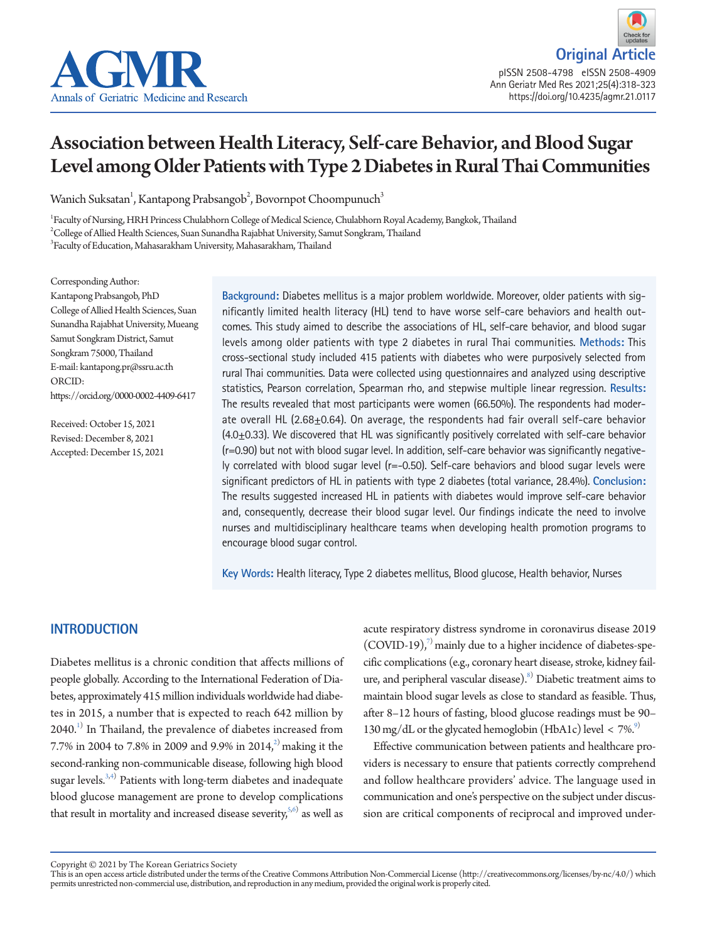



# Association between Health Literacy, Self-care Behavior, and Blood Sugar Level among Older Patients with Type 2 Diabetes in Rural Thai Communities

Wanich Suksatan $^{\rm l}$ , Kantapong Prabsangob $^{\rm 2}$ , Bovornpot Choompunuch $^{\rm 3}$ 

1 Faculty of Nursing, HRH Princess Chulabhorn College of Medical Science, Chulabhorn Royal Academy, Bangkok, Thailand  $^{2}$ College of Allied Health Sciences, Suan Sunandha Rajabhat University, Samut Songkram, Thailand 3 Faculty of Education, Mahasarakham University, Mahasarakham, Thailand

Corresponding Author: Kantapong Prabsangob, PhD College of Allied Health Sciences, Suan Sunandha Rajabhat University, Mueang Samut Songkram District, Samut Songkram 75000, Thailand E-mail: kantapong.pr@ssru.ac.th ORCID: https://orcid.org/0000-0002-4409-6417

Received: October 15, 2021 Revised: December 8, 2021 Accepted: December 15, 2021 **Background:** Diabetes mellitus is a major problem worldwide. Moreover, older patients with significantly limited health literacy (HL) tend to have worse self-care behaviors and health outcomes. This study aimed to describe the associations of HL, self-care behavior, and blood sugar levels among older patients with type 2 diabetes in rural Thai communities. **Methods:** This cross-sectional study included 415 patients with diabetes who were purposively selected from rural Thai communities. Data were collected using questionnaires and analyzed using descriptive statistics, Pearson correlation, Spearman rho, and stepwise multiple linear regression. **Results:** The results revealed that most participants were women (66.50%). The respondents had moderate overall HL (2.68 $\pm$ 0.64). On average, the respondents had fair overall self-care behavior (4.0±0.33). We discovered that HL was significantly positively correlated with self-care behavior (r=0.90) but not with blood sugar level. In addition, self-care behavior was significantly negatively correlated with blood sugar level (r=-0.50). Self-care behaviors and blood sugar levels were significant predictors of HL in patients with type 2 diabetes (total variance, 28.4%). **Conclusion:** The results suggested increased HL in patients with diabetes would improve self-care behavior and, consequently, decrease their blood sugar level. Our findings indicate the need to involve nurses and multidisciplinary healthcare teams when developing health promotion programs to encourage blood sugar control.

**Key Words:** Health literacy, Type 2 diabetes mellitus, Blood glucose, Health behavior, Nurses

# **INTRODUCTION**

Diabetes mellitus is a chronic condition that affects millions of people globally. According to the International Federation of Diabetes, approximately 415 million individuals worldwide had diabetes in 2015, a number that is expected to reach 642 million by  $2040.^{1)}$  $2040.^{1)}$  $2040.^{1)}$  In Thailand, the prevalence of diabetes increased from 7.7% in 2004 to 7.8% in 2009 and 9.9% in 2014,<sup>[2\)](#page-4-1)</sup> making it the second-ranking non-communicable disease, following high blood sugar levels. $3,4)$  $3,4)$  Patients with long-term diabetes and inadequate blood glucose management are prone to develop complications that result in mortality and increased disease severity,  $5,6$  $5,6$  as well as

acute respiratory distress syndrome in coronavirus disease 2019  $(COVID-19)$ ,<sup>[7](#page-5-0))</sup> mainly due to a higher incidence of diabetes-specific complications (e.g., coronary heart disease, stroke, kidney failure, and peripheral vascular disease).<sup>8</sup> Diabetic treatment aims to maintain blood sugar levels as close to standard as feasible. Thus, after 8–12 hours of fasting, blood glucose readings must be 90– 130 mg/dL or the glycated hemoglobin (HbA1c) level  $\langle 7\% \rangle$ <sup>9)</sup>

Effective communication between patients and healthcare providers is necessary to ensure that patients correctly comprehend and follow healthcare providers' advice. The language used in communication and one's perspective on the subject under discussion are critical components of reciprocal and improved under-

Copyright © 2021 by The Korean Geriatrics Society<br>This is an open access article distributed under the terms of the Creative Commons Attribution Non-Commercial License (http://creativecommons.org/licenses/by-nc/4.0/) which permits unrestricted non-commercial use, distribution, and reproduction in any medium, provided the original work is properly cited.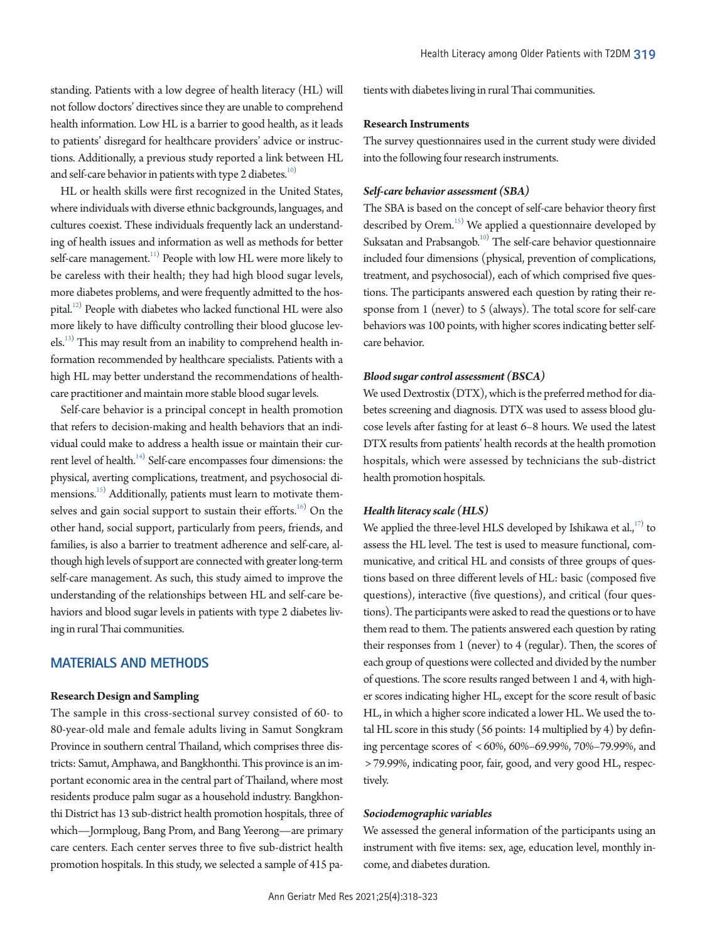standing. Patients with a low degree of health literacy (HL) will not follow doctors' directives since they are unable to comprehend health information. Low HL is a barrier to good health, as it leads to patients' disregard for healthcare providers' advice or instructions. Additionally, a previous study reported a link between HL and self-care behavior in patients with type 2 diabetes.<sup>10)</sup>

HL or health skills were first recognized in the United States, where individuals with diverse ethnic backgrounds, languages, and cultures coexist. These individuals frequently lack an understanding of health issues and information as well as methods for better self-care management. $^{11)}$  People with low HL were more likely to be careless with their health; they had high blood sugar levels, more diabetes problems, and were frequently admitted to the hospital.<sup>12)</sup> People with diabetes who lacked functional HL were also more likely to have difficulty controlling their blood glucose levels.<sup>13)</sup> This may result from an inability to comprehend health information recommended by healthcare specialists. Patients with a high HL may better understand the recommendations of healthcare practitioner and maintain more stable blood sugar levels.

Self-care behavior is a principal concept in health promotion that refers to decision-making and health behaviors that an individual could make to address a health issue or maintain their current level of health.<sup>14)</sup> Self-care encompasses four dimensions: the physical, averting complications, treatment, and psychosocial dimensions.<sup>15)</sup> Additionally, patients must learn to motivate themselves and gain social support to sustain their efforts. $^{16)}$  On the other hand, social support, particularly from peers, friends, and families, is also a barrier to treatment adherence and self-care, although high levels of support are connected with greater long-term self-care management. As such, this study aimed to improve the understanding of the relationships between HL and self-care behaviors and blood sugar levels in patients with type 2 diabetes living in rural Thai communities.

## **MATERIALS AND METHODS**

#### **Research Design and Sampling**

The sample in this cross-sectional survey consisted of 60- to 80-year-old male and female adults living in Samut Songkram Province in southern central Thailand, which comprises three districts: Samut, Amphawa, and Bangkhonthi. This province is an important economic area in the central part of Thailand, where most residents produce palm sugar as a household industry. Bangkhonthi District has 13 sub-district health promotion hospitals, three of which—Jormploug, Bang Prom, and Bang Yeerong—are primary care centers. Each center serves three to five sub-district health promotion hospitals. In this study, we selected a sample of 415 patients with diabetes living in rural Thai communities.

#### **Research Instruments**

The survey questionnaires used in the current study were divided into the following four research instruments.

## *Self-care behavior assessment (SBA)*

The SBA is based on the concept of self-care behavior theory first described by Orem.<sup>15)</sup> We applied a questionnaire developed by Suksatan and Prabsangob.<sup>10)</sup> The self-care behavior questionnaire included four dimensions (physical, prevention of complications, treatment, and psychosocial), each of which comprised five questions. The participants answered each question by rating their response from 1 (never) to 5 (always). The total score for self-care behaviors was 100 points, with higher scores indicating better selfcare behavior.

## *Blood sugar control assessment (BSCA)*

We used Dextrostix (DTX), which is the preferred method for diabetes screening and diagnosis. DTX was used to assess blood glucose levels after fasting for at least 6–8 hours. We used the latest DTX results from patients' health records at the health promotion hospitals, which were assessed by technicians the sub-district health promotion hospitals.

#### *Health literacy scale (HLS)*

We applied the three-level HLS developed by Ishikawa et al., $^{17)}$  to assess the HL level. The test is used to measure functional, communicative, and critical HL and consists of three groups of questions based on three different levels of HL: basic (composed five questions), interactive (five questions), and critical (four questions). The participants were asked to read the questions or to have them read to them. The patients answered each question by rating their responses from 1 (never) to 4 (regular). Then, the scores of each group of questions were collected and divided by the number of questions. The score results ranged between 1 and 4, with higher scores indicating higher HL, except for the score result of basic HL, in which a higher score indicated a lower HL. We used the total HL score in this study (56 points: 14 multiplied by 4) by defining percentage scores of < 60%, 60%–69.99%, 70%–79.99%, and > 79.99%, indicating poor, fair, good, and very good HL, respectively.

## *Sociodemographic variables*

We assessed the general information of the participants using an instrument with five items: sex, age, education level, monthly income, and diabetes duration.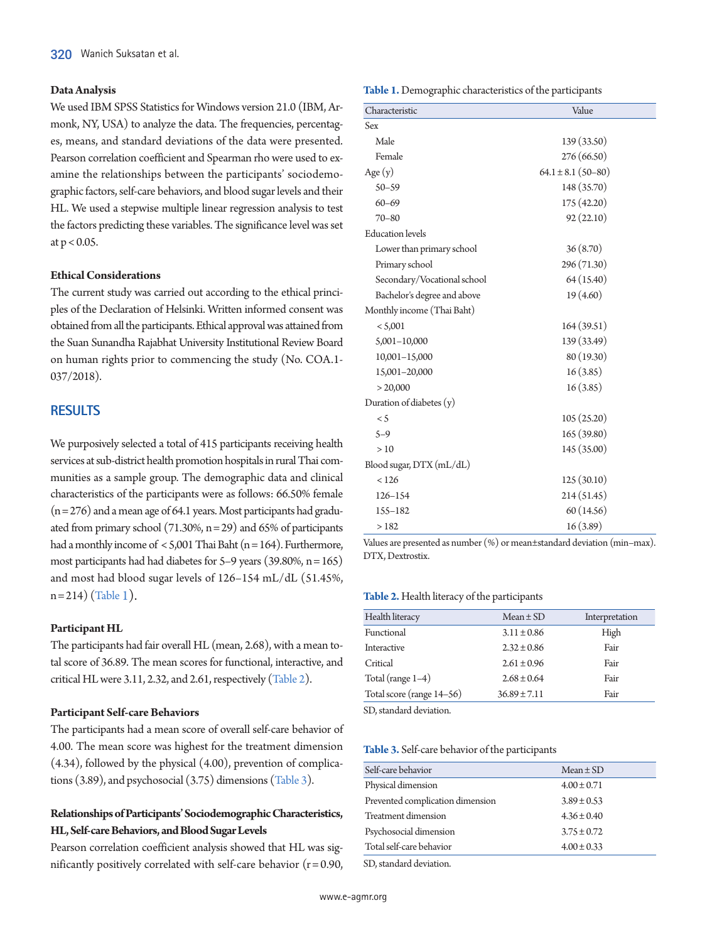## **Data Analysis**

We used IBM SPSS Statistics for Windows version 21.0 (IBM, Armonk, NY, USA) to analyze the data. The frequencies, percentages, means, and standard deviations of the data were presented. Pearson correlation coefficient and Spearman rho were used to examine the relationships between the participants' sociodemographic factors, self-care behaviors, and blood sugar levels and their HL. We used a stepwise multiple linear regression analysis to test the factors predicting these variables. The significance level was set at  $p < 0.05$ .

#### **Ethical Considerations**

The current study was carried out according to the ethical principles of the Declaration of Helsinki. Written informed consent was obtained from all the participants. Ethical approval was attained from the Suan Sunandha Rajabhat University Institutional Review Board on human rights prior to commencing the study (No. COA.1- 037/2018).

## **RESULTS**

We purposively selected a total of 415 participants receiving health services at sub-district health promotion hospitals in rural Thai communities as a sample group. The demographic data and clinical characteristics of the participants were as follows: 66.50% female  $(n=276)$  and a mean age of 64.1 years. Most participants had graduated from primary school (71.30%,  $n = 29$ ) and 65% of participants had a monthly income of  $<$  5,001 Thai Baht (n = 164). Furthermore, most participants had had diabetes for  $5-9$  years (39.80%, n = 165) and most had blood sugar levels of 126–154 mL/dL (51.45%,  $n=214$  $n=214$  $n=214$ ) [\(](#page-2-0)Table 1).

## **Participant HL**

The participants had fair overall HL (mean, 2.68), with a mean total score of 36.89. The mean scores for functional, interactive, and critical HL were 3.11, 2.32, and 2.61, respectively [\(Table 2\)](#page-2-1).

#### **Participant Self-care Behaviors**

The participants had a mean score of overall self-care behavior of 4.00. The mean score was highest for the treatment dimension (4.34), followed by the physical (4.00), prevention of complications (3.89), and psychosocial (3.75) dimensions [\(Table 3\)](#page-2-2).

# **Relationships of Participants' Sociodemographic Characteristics, HL, Self-care Behaviors, and Blood Sugar Levels**

Pearson correlation coefficient analysis showed that HL was significantly positively correlated with self-care behavior  $(r = 0.90,$  <span id="page-2-0"></span>**Table 1.** Demographic characteristics of the participants

| Characteristic              | Value                  |  |  |  |
|-----------------------------|------------------------|--|--|--|
| Sex                         |                        |  |  |  |
| Male                        | 139 (33.50)            |  |  |  |
| Female                      | 276 (66.50)            |  |  |  |
| Age $(y)$                   | $64.1 \pm 8.1$ (50-80) |  |  |  |
| $50 - 59$                   | 148 (35.70)            |  |  |  |
| $60 - 69$                   | 175 (42.20)            |  |  |  |
| $70 - 80$                   | 92(22.10)              |  |  |  |
| <b>Education</b> levels     |                        |  |  |  |
| Lower than primary school   | 36 (8.70)              |  |  |  |
| Primary school              | 296 (71.30)            |  |  |  |
| Secondary/Vocational school | 64 (15.40)             |  |  |  |
| Bachelor's degree and above | 19 (4.60)              |  |  |  |
| Monthly income (Thai Baht)  |                        |  |  |  |
| < 5,001                     | 164(39.51)             |  |  |  |
| $5,001-10,000$              | 139 (33.49)            |  |  |  |
| $10,001 - 15,000$           | 80 (19.30)             |  |  |  |
| 15,001-20,000               | 16(3.85)               |  |  |  |
| > 20,000                    | 16(3.85)               |  |  |  |
| Duration of diabetes (y)    |                        |  |  |  |
| $\leq$ 5                    | 105 (25.20)            |  |  |  |
| $5 - 9$                     | 165 (39.80)            |  |  |  |
| >10                         | 145 (35.00)            |  |  |  |
| Blood sugar, DTX (mL/dL)    |                        |  |  |  |
| < 126                       | 125 (30.10)            |  |  |  |
| $126 - 154$                 | 214 (51.45)            |  |  |  |
| 155-182                     | 60 (14.56)             |  |  |  |
| >182                        | 16(3.89)               |  |  |  |

Values are presented as number (%) or mean±standard deviation (min–max). DTX, Dextrostix.

#### <span id="page-2-1"></span>**Table 2.** Health literacy of the participants

| Health literacy           | $Mean \pm SD$    | Interpretation |
|---------------------------|------------------|----------------|
| Functional                | $3.11 \pm 0.86$  | High           |
| Interactive               | $2.32 \pm 0.86$  | Fair           |
| Critical                  | $2.61 \pm 0.96$  | Fair           |
| Total (range $1-4$ )      | $2.68 \pm 0.64$  | Fair           |
| Total score (range 14-56) | $36.89 \pm 7.11$ | Fair           |
|                           |                  |                |

SD, standard deviation.

#### <span id="page-2-2"></span>**Table 3.** Self-care behavior of the participants

| Self-care behavior               | $Mean \pm SD$   |
|----------------------------------|-----------------|
| Physical dimension               | $4.00 \pm 0.71$ |
| Prevented complication dimension | $3.89 \pm 0.53$ |
| Treatment dimension              | $4.36 \pm 0.40$ |
| Psychosocial dimension           | $3.75 \pm 0.72$ |
| Total self-care behavior         | $4.00 \pm 0.33$ |
|                                  |                 |

SD, standard deviation.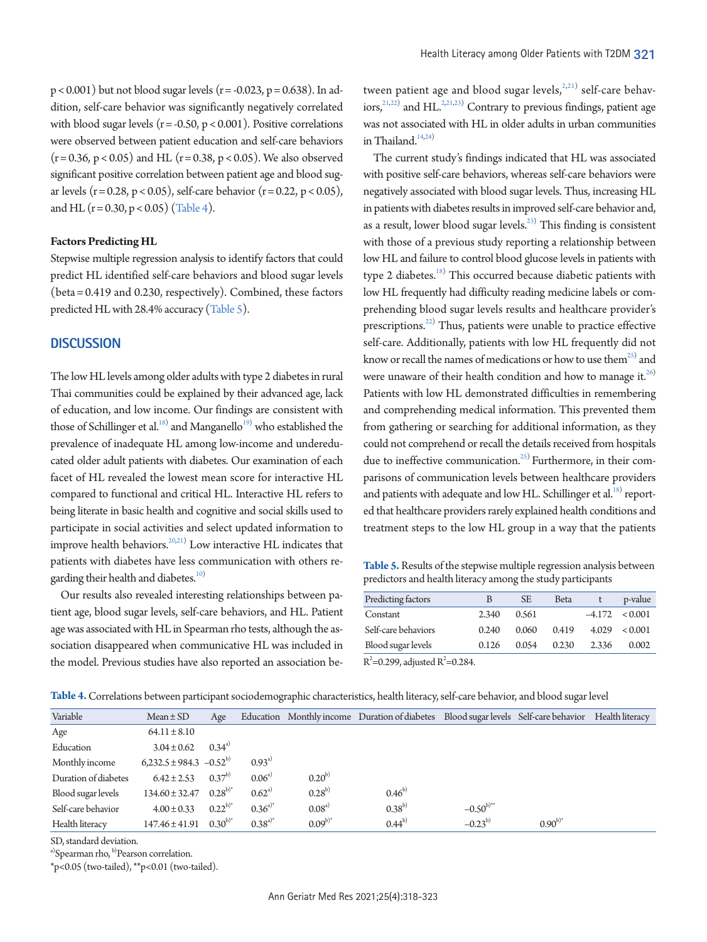$p < 0.001$ ) but not blood sugar levels ( $r = -0.023$ ,  $p = 0.638$ ). In addition, self-care behavior was significantly negatively correlated with blood sugar levels ( $r = -0.50$ ,  $p < 0.001$ ). Positive correlations were observed between patient education and self-care behaviors  $(r = 0.36, p < 0.05)$  and HL  $(r = 0.38, p < 0.05)$ . We also observed significant positive correlation between patient age and blood sugar levels ( $r = 0.28$ ,  $p < 0.05$ ), self-care behavior ( $r = 0.22$ ,  $p < 0.05$ ), and HL  $(r = 0.30, p < 0.05)$  [\(Table 4](#page-3-0)).

#### **Factors Predicting HL**

Stepwise multiple regression analysis to identify factors that could predict HL identified self-care behaviors and blood sugar levels (beta = 0.419 and 0.230, respectively). Combined, these factors predicted HL with 28.4% accuracy [\(Table 5](#page-3-1)).

## **DISCUSSION**

The low HL levels among older adults with type 2 diabetes in rural Thai communities could be explained by their advanced age, lack of education, and low income. Our findings are consistent with those of Schillinger et al.<sup>[18](#page-5-11))</sup> and Manganello<sup>[19](#page-5-12))</sup> who established the prevalence of inadequate HL among low-income and undereducated older adult patients with diabetes. Our examination of each facet of HL revealed the lowest mean score for interactive HL compared to functional and critical HL. Interactive HL refers to being literate in basic health and cognitive and social skills used to participate in social activities and select updated information to improve health behaviors. $^{20,21)}$  $^{20,21)}$  $^{20,21)}$  Low interactive HL indicates that patients with diabetes have less communication with others regarding their health and diabetes.<sup>10)</sup>

Our results also revealed interesting relationships between patient age, blood sugar levels, self-care behaviors, and HL. Patient age was associated with HL in Spearman rho tests, although the association disappeared when communicative HL was included in the model. Previous studies have also reported an association between patient age and blood sugar levels,<sup>2,21)</sup> self-care behav- $\text{ions}^{21,22)}$  $\text{ions}^{21,22)}$  $\text{ions}^{21,22)}$  and HL.<sup>2,21[,23\)](#page-5-12)</sup> Contrary to previous findings, patient age was not associated with HL in older adults in urban communities in Thailand. $14,24$ )

The current study's findings indicated that HL was associated with positive self-care behaviors, whereas self-care behaviors were negatively associated with blood sugar levels. Thus, increasing HL in patients with diabetes results in improved self-care behavior and, as a result, lower blood sugar levels. $^{23)}$  This finding is consistent with those of a previous study reporting a relationship between low HL and failure to control blood glucose levels in patients with type 2 diabetes.<sup>18</sup> This occurred because diabetic patients with low HL frequently had difficulty reading medicine labels or comprehending blood sugar levels results and healthcare provider's prescriptions.<sup>[22](#page-5-14))</sup> Thus, patients were unable to practice effective self-care. Additionally, patients with low HL frequently did not know or recall the names of medications or how to use the $m^{25)}$  $m^{25)}$  $m^{25)}$  and were unaware of their health condition and how to manage it. $^{26)}$  $^{26)}$  $^{26)}$ Patients with low HL demonstrated difficulties in remembering and comprehending medical information. This prevented them from gathering or searching for additional information, as they could not comprehend or recall the details received from hospitals due to ineffective communication.<sup>25)</sup> Furthermore, in their comparisons of communication levels between healthcare providers and patients with adequate and low HL. Schillinger et al.<sup>18)</sup> reported that healthcare providers rarely explained health conditions and treatment steps to the low HL group in a way that the patients

<span id="page-3-1"></span>**Table 5.** Results of the stepwise multiple regression analysis between predictors and health literacy among the study participants

| Predicting factors  | B     | <b>SE</b> | <b>Beta</b> |       | p-value            |
|---------------------|-------|-----------|-------------|-------|--------------------|
| Constant            | 2.340 | 0.561     |             |       | $-4.172 \le 0.001$ |
| Self-care behaviors | 0.240 | 0.060     | 0.419       | 4.029 | ${}_{< 0.001}$     |
| Blood sugar levels  | 0.126 | 0.054     | 0.230       | 2.336 | 0.002              |
|                     |       |           |             |       |                    |

 $R^2$ =0.299, adjusted  $R^2$ =0.284.

<span id="page-3-0"></span>**Table 4.** Correlations between participant sociodemographic characteristics, health literacy, self-care behavior, and blood sugar level

| Variable             | $Mean \pm SD$                 | Age        |               |              | Education Monthly income Duration of diabetes Blood sugar levels Self-care behavior Health literacy |                |              |  |
|----------------------|-------------------------------|------------|---------------|--------------|-----------------------------------------------------------------------------------------------------|----------------|--------------|--|
| Age                  | $64.11 \pm 8.10$              |            |               |              |                                                                                                     |                |              |  |
| Education            | $3.04 \pm 0.62$               | $0.34^{a}$ |               |              |                                                                                                     |                |              |  |
| Monthly income       | $6,232.5 \pm 984.3 -0.52^{b}$ |            | $0.93^{a}$    |              |                                                                                                     |                |              |  |
| Duration of diabetes | $6.42 \pm 2.53$               | $0.37^{b}$ | $0.06^{a}$    | $0.20^{b}$   |                                                                                                     |                |              |  |
| Blood sugar levels   | $134.60 \pm 32.47$            | $0.28^{b}$ | $0.62^{a}$    | $0.28^{b}$   | $0.46^{b}$                                                                                          |                |              |  |
| Self-care behavior   | $4.00 \pm 0.33$               | $0.22^{b}$ | $0.36^{a)*}$  | $0.08^{a}$   | $0.38^{b}$                                                                                          | $-0.50^{b)**}$ |              |  |
| Health literacy      | $147.46 \pm 41.91$            | $0.30^{b}$ | $0.38^{a)^*}$ | $0.09^{b)*}$ | $0.44^{b}$                                                                                          | $-0.23^{b}$    | $0.90^{b)*}$ |  |

SD, standard deviation.

a)Spearman rho, <sup>b)</sup>Pearson correlation.

\*p<0.05 (two-tailed), \*\*p<0.01 (two-tailed).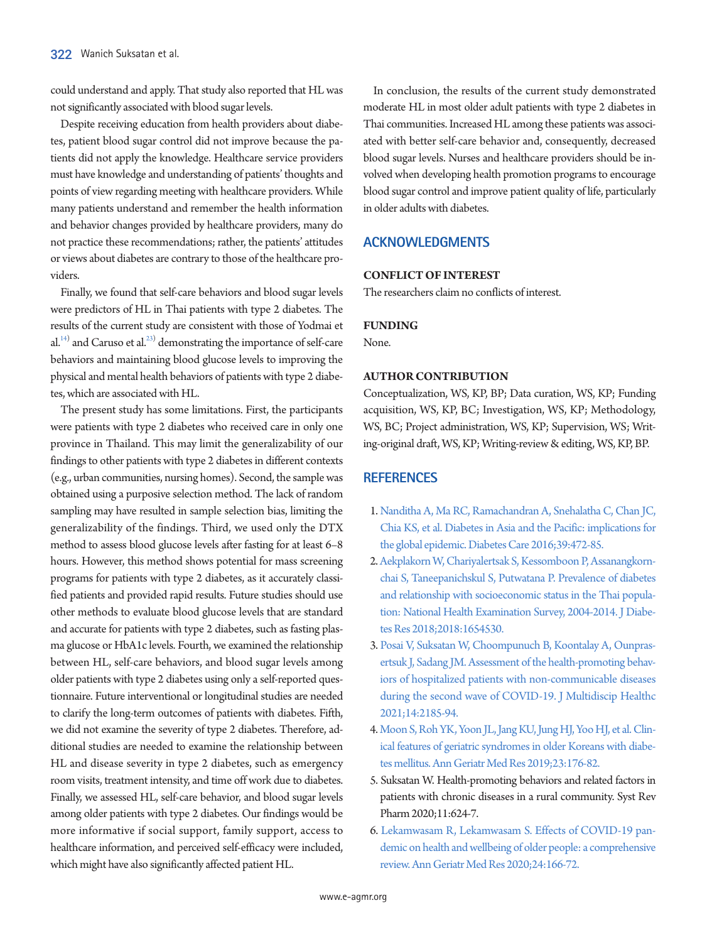could understand and apply. That study also reported that HL was not significantly associated with blood sugar levels.

Despite receiving education from health providers about diabetes, patient blood sugar control did not improve because the patients did not apply the knowledge. Healthcare service providers must have knowledge and understanding of patients' thoughts and points of view regarding meeting with healthcare providers. While many patients understand and remember the health information and behavior changes provided by healthcare providers, many do not practice these recommendations; rather, the patients' attitudes or views about diabetes are contrary to those of the healthcare providers.

Finally, we found that self-care behaviors and blood sugar levels were predictors of HL in Thai patients with type 2 diabetes. The results of the current study are consistent with those of Yodmai et al. $^{14)}$  and Caruso et al. $^{23)}$  demonstrating the importance of self-care behaviors and maintaining blood glucose levels to improving the physical and mental health behaviors of patients with type 2 diabetes, which are associated with HL.

The present study has some limitations. First, the participants were patients with type 2 diabetes who received care in only one province in Thailand. This may limit the generalizability of our findings to other patients with type 2 diabetes in different contexts (e.g., urban communities, nursing homes). Second, the sample was obtained using a purposive selection method. The lack of random sampling may have resulted in sample selection bias, limiting the generalizability of the findings. Third, we used only the DTX method to assess blood glucose levels after fasting for at least 6–8 hours. However, this method shows potential for mass screening programs for patients with type 2 diabetes, as it accurately classified patients and provided rapid results. Future studies should use other methods to evaluate blood glucose levels that are standard and accurate for patients with type 2 diabetes, such as fasting plasma glucose or HbA1c levels. Fourth, we examined the relationship between HL, self-care behaviors, and blood sugar levels among older patients with type 2 diabetes using only a self-reported questionnaire. Future interventional or longitudinal studies are needed to clarify the long-term outcomes of patients with diabetes. Fifth, we did not examine the severity of type 2 diabetes. Therefore, additional studies are needed to examine the relationship between HL and disease severity in type 2 diabetes, such as emergency room visits, treatment intensity, and time off work due to diabetes. Finally, we assessed HL, self-care behavior, and blood sugar levels among older patients with type 2 diabetes. Our findings would be more informative if social support, family support, access to healthcare information, and perceived self-efficacy were included, which might have also significantly affected patient HL.

In conclusion, the results of the current study demonstrated moderate HL in most older adult patients with type 2 diabetes in Thai communities. Increased HL among these patients was associated with better self-care behavior and, consequently, decreased blood sugar levels. Nurses and healthcare providers should be involved when developing health promotion programs to encourage blood sugar control and improve patient quality of life, particularly in older adults with diabetes.

# **ACKNOWLEDGMENTS**

## **CONFLICT OF INTEREST**

The researchers claim no conflicts of interest.

## **FUNDING**

None.

## **AUTHOR CONTRIBUTION**

Conceptualization, WS, KP, BP; Data curation, WS, KP; Funding acquisition, WS, KP, BC; Investigation, WS, KP; Methodology, WS, BC; Project administration, WS, KP; Supervision, WS; Writing-original draft, WS, KP; Writing-review & editing, WS, KP, BP.

# **REFERENCES**

- <span id="page-4-0"></span>1. [Nanditha A, Ma RC, Ramachandran A, Snehalatha C, Chan JC,](https://doi.org/10.2337/dc15-1536)  [Chia KS, et al. Diabetes in Asia and the Pacific: implications for](https://doi.org/10.2337/dc15-1536)  [the global epidemic. Diabetes Care 2016;39:472-85.](https://doi.org/10.2337/dc15-1536)
- <span id="page-4-1"></span>2. [Aekplakorn W, Chariyalertsak S, Kessomboon P, Assanangkorn](https://doi.org/10.1155/2018/1654530)[chai S, Taneepanichskul S, Putwatana P. Prevalence of diabetes](https://doi.org/10.1155/2018/1654530)  [and relationship with socioeconomic status in the Thai popula](https://doi.org/10.1155/2018/1654530)[tion: National Health Examination Survey,](https://doi.org/10.1155/2018/1654530) 2004-2014. J Diabetes Res 2018;2018:1654530.
- <span id="page-4-2"></span>[3. Posai V, Suksatan W, Choompunuch B, Koontalay A, Ounpras](https://doi.org/10.2147/jmdh.s329344)[ertsuk J, Sadang JM. Assessment of the health-promoting behav](https://doi.org/10.2147/jmdh.s329344)[iors of hospitalized patients with non-communicable diseases](https://doi.org/10.2147/jmdh.s329344)  [during the second wave of COVID-19. J Multidisci](https://doi.org/10.2147/jmdh.s329344)p Healthc 2021;14:2185-94.
- <span id="page-4-3"></span>[4. Moon S, Roh YK, Yoon JL, Jang KU, Jung HJ, Yoo HJ, et al. Clin](https://doi.org/10.4235/agmr.19.0041)[ical features of geriatric syndromes in older Koreans with diabe](https://doi.org/10.4235/agmr.19.0041)[tes mellitus. Ann Geriatr Med Res 2019;23:176-82.](https://doi.org/10.4235/agmr.19.0041)
- <span id="page-4-4"></span>5. Suksatan W. Health-promoting behaviors and related factors in patients with chronic diseases in a rural community. Syst Rev Pharm 2020;11:624-7.
- <span id="page-4-5"></span>6[. Lekamwasam R, Lekamwasam S. Effects of COVID-19 pan](https://doi.org/10.4235/agmr.20.0027)[demic on health and wellbeing of older people: a comprehensive](https://doi.org/10.4235/agmr.20.0027)  [review. Ann Geriatr Med Res 2020;24:166-72](https://doi.org/10.4235/agmr.20.0027).